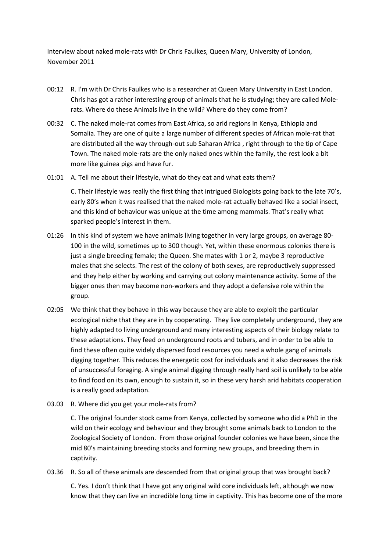Interview about naked mole-rats with Dr Chris Faulkes, Queen Mary, University of London, November 2011

- 00:12 R. I'm with Dr Chris Faulkes who is a researcher at Queen Mary University in East London. Chris has got a rather interesting group of animals that he is studying; they are called Molerats. Where do these Animals live in the wild? Where do they come from?
- 00:32 C. The naked mole-rat comes from East Africa, so arid regions in Kenya, Ethiopia and Somalia. They are one of quite a large number of different species of African mole-rat that are distributed all the way through-out sub Saharan Africa , right through to the tip of Cape Town. The naked mole-rats are the only naked ones within the family, the rest look a bit more like guinea pigs and have fur.
- 01:01 A. Tell me about their lifestyle, what do they eat and what eats them?

C. Their lifestyle was really the first thing that intrigued Biologists going back to the late 70's, early 80's when it was realised that the naked mole-rat actually behaved like a social insect, and this kind of behaviour was unique at the time among mammals. That's really what sparked people's interest in them.

- 01:26 In this kind of system we have animals living together in very large groups, on average 80- 100 in the wild, sometimes up to 300 though. Yet, within these enormous colonies there is just a single breeding female; the Queen. She mates with 1 or 2, maybe 3 reproductive males that she selects. The rest of the colony of both sexes, are reproductively suppressed and they help either by working and carrying out colony maintenance activity. Some of the bigger ones then may become non-workers and they adopt a defensive role within the group.
- 02:05 We think that they behave in this way because they are able to exploit the particular ecological niche that they are in by cooperating. They live completely underground, they are highly adapted to living underground and many interesting aspects of their biology relate to these adaptations. They feed on underground roots and tubers, and in order to be able to find these often quite widely dispersed food resources you need a whole gang of animals digging together. This reduces the energetic cost for individuals and it also decreases the risk of unsuccessful foraging. A single animal digging through really hard soil is unlikely to be able to find food on its own, enough to sustain it, so in these very harsh arid habitats cooperation is a really good adaptation.
- 03.03 R. Where did you get your mole-rats from?

C. The original founder stock came from Kenya, collected by someone who did a PhD in the wild on their ecology and behaviour and they brought some animals back to London to the Zoological Society of London. From those original founder colonies we have been, since the mid 80's maintaining breeding stocks and forming new groups, and breeding them in captivity.

03.36 R. So all of these animals are descended from that original group that was brought back?

C. Yes. I don't think that I have got any original wild core individuals left, although we now know that they can live an incredible long time in captivity. This has become one of the more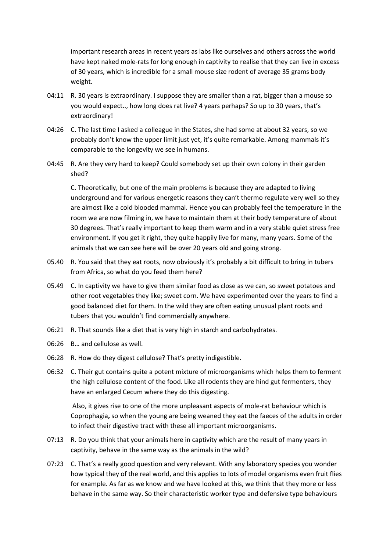important research areas in recent years as labs like ourselves and others across the world have kept naked mole-rats for long enough in captivity to realise that they can live in excess of 30 years, which is incredible for a small mouse size rodent of average 35 grams body weight.

- 04:11 R. 30 years is extraordinary. I suppose they are smaller than a rat, bigger than a mouse so you would expect.., how long does rat live? 4 years perhaps? So up to 30 years, that's extraordinary!
- 04:26 C. The last time I asked a colleague in the States, she had some at about 32 years, so we probably don't know the upper limit just yet, it's quite remarkable. Among mammals it's comparable to the longevity we see in humans.
- 04:45 R. Are they very hard to keep? Could somebody set up their own colony in their garden shed?

C. Theoretically, but one of the main problems is because they are adapted to living underground and for various energetic reasons they can't thermo regulate very well so they are almost like a cold blooded mammal. Hence you can probably feel the temperature in the room we are now filming in, we have to maintain them at their body temperature of about 30 degrees. That's really important to keep them warm and in a very stable quiet stress free environment. If you get it right, they quite happily live for many, many years. Some of the animals that we can see here will be over 20 years old and going strong.

- 05.40 R. You said that they eat roots, now obviously it's probably a bit difficult to bring in tubers from Africa, so what do you feed them here?
- 05.49 C. In captivity we have to give them similar food as close as we can, so sweet potatoes and other root vegetables they like; sweet corn. We have experimented over the years to find a good balanced diet for them. In the wild they are often eating unusual plant roots and tubers that you wouldn't find commercially anywhere.
- 06:21 R. That sounds like a diet that is very high in starch and carbohydrates.
- 06:26 B… and cellulose as well.
- 06:28 R. How do they digest cellulose? That's pretty indigestible.
- 06:32 C. Their gut contains quite a potent mixture of microorganisms which helps them to ferment the high cellulose content of the food. Like all rodents they are hind gut fermenters, they have an enlarged Cecum where they do this digesting.

Also, it gives rise to one of the more unpleasant aspects of mole-rat behaviour which is Coprophagia**,** so when the young are being weaned they eat the faeces of the adults in order to infect their digestive tract with these all important microorganisms.

- 07:13 R. Do you think that your animals here in captivity which are the result of many years in captivity, behave in the same way as the animals in the wild?
- 07:23 C. That's a really good question and very relevant. With any laboratory species you wonder how typical they of the real world, and this applies to lots of model organisms even fruit flies for example. As far as we know and we have looked at this, we think that they more or less behave in the same way. So their characteristic worker type and defensive type behaviours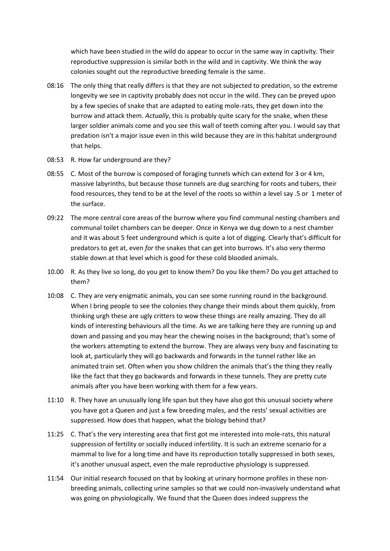which have been studied in the wild do appear to occur in the same way in captivity. Their reproductive suppression is similar both in the wild and in captivity. We think the way colonies sought out the reproductive breeding female is the same.

- 08:16 The only thing that really differs is that they are not subjected to predation, so the extreme longevity we see in captivity probably does not occur in the wild. They can be preyed upon by a few species of snake that are adapted to eating mole-rats, they get down into the burrow and attack them. *Actually*, this is probably quite scary for the snake, when these larger soldier animals come and you see this wall of teeth coming after you. I would say that predation isn't a major issue even in this wild because they are in this habitat underground that helps.
- 08:53 R. How far underground are they?
- 08:55 C. Most of the burrow is composed of foraging tunnels which can extend for 3 or 4 km, massive labyrinths, but because those tunnels are dug searching for roots and tubers, their food resources, they tend to be at the level of the roots so within a level say .5 or 1 meter of the surface.
- 09:22 The more central core areas of the burrow where you find communal nesting chambers and communal toilet chambers can be deeper. Once in Kenya we dug down to a nest chamber and it was about 5 feet underground which is quite a lot of digging. Clearly that's difficult for predators to get at, even *for* the snakes that can get into burrows. It's also very thermo stable down at that level which is good for these cold blooded animals.
- 10.00 R. As they live so long, do you get to know them? Do you like them? Do you get attached to them?
- 10:08 C. They are very enigmatic animals, you can see some running round in the background. When I bring people to see the colonies they change their minds about them quickly, from thinking urgh these are ugly critters to wow these things are really amazing. They do all kinds of interesting behaviours all the time. As we are talking here they are running up and down and passing and you may hear the chewing noises in the background; that's some of the workers attempting to extend the burrow. They are always very busy and fascinating to look at, particularly they will go backwards and forwards in the tunnel rather like an animated train set. Often when you show children the animals that's the thing they really like the fact that they go backwards and forwards in these tunnels. They are pretty cute animals after you have been working with them for a few years.
- 11:10 R. They have an unusually long life span but they have also got this unusual society where you have got a Queen and just a few breeding males, and the rests' sexual activities are suppressed. How does that happen, what the biology behind that?
- 11:25 C. That's the very interesting area that first got me interested into mole-rats, this natural suppression of fertility or socially induced infertility. It is such an extreme scenario for a mammal to live for a long time and have its reproduction totally suppressed in both sexes, it's another unusual aspect, even the male reproductive physiology is suppressed.
- 11:54 Our initial research focused on that by looking at urinary hormone profiles in these nonbreeding animals, collecting urine samples so that we could non-invasively understand what was going on physiologically. We found that the Queen does indeed suppress the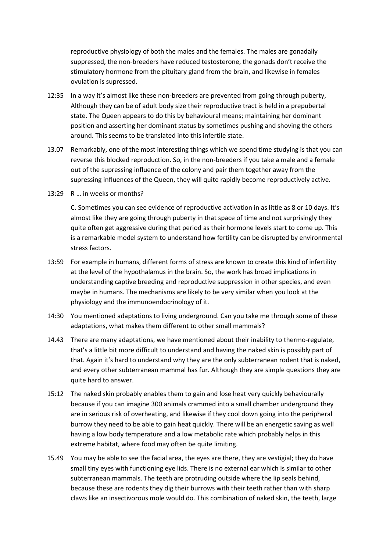reproductive physiology of both the males and the females. The males are gonadally suppressed, the non-breeders have reduced testosterone, the gonads don't receive the stimulatory hormone from the pituitary gland from the brain, and likewise in females ovulation is supressed.

- 12:35 In a way it's almost like these non-breeders are prevented from going through puberty, Although they can be of adult body size their reproductive tract is held in a prepubertal state. The Queen appears to do this by behavioural means; maintaining her dominant position and asserting her dominant status by sometimes pushing and shoving the others around. This seems to be translated into this infertile state.
- 13.07 Remarkably, one of the most interesting things which we spend time studying is that you can reverse this blocked reproduction. So, in the non-breeders if you take a male and a female out of the supressing influence of the colony and pair them together away from the supressing influences of the Queen, they will quite rapidly become reproductively active.
- 13:29 R … in weeks or months?

C. Sometimes you can see evidence of reproductive activation in as little as 8 or 10 days. It's almost like they are going through puberty in that space of time and not surprisingly they quite often get aggressive during that period as their hormone levels start to come up. This is a remarkable model system to understand how fertility can be disrupted by environmental stress factors.

- 13:59 For example in humans, different forms of stress are known to create this kind of infertility at the level of the hypothalamus in the brain. So, the work has broad implications in understanding captive breeding and reproductive suppression in other species, and even maybe in humans. The mechanisms are likely to be very similar when you look at the physiology and the immunoendocrinology of it.
- 14:30 You mentioned adaptations to living underground. Can you take me through some of these adaptations, what makes them different to other small mammals?
- 14.43 There are many adaptations, we have mentioned about their inability to thermo-regulate, that's a little bit more difficult to understand and having the naked skin is possibly part of that. Again it's hard to understand why they are the only subterranean rodent that is naked, and every other subterranean mammal has fur. Although they are simple questions they are quite hard to answer.
- 15:12 The naked skin probably enables them to gain and lose heat very quickly behaviourally because if you can imagine 300 animals crammed into a small chamber underground they are in serious risk of overheating, and likewise if they cool down going into the peripheral burrow they need to be able to gain heat quickly. There will be an energetic saving as well having a low body temperature and a low metabolic rate which probably helps in this extreme habitat, where food may often be quite limiting.
- 15.49 You may be able to see the facial area, the eyes are there, they are vestigial; they do have small tiny eyes with functioning eye lids. There is no external ear which is similar to other subterranean mammals. The teeth are protruding outside where the lip seals behind, because these are rodents they dig their burrows with their teeth rather than with sharp claws like an insectivorous mole would do. This combination of naked skin, the teeth, large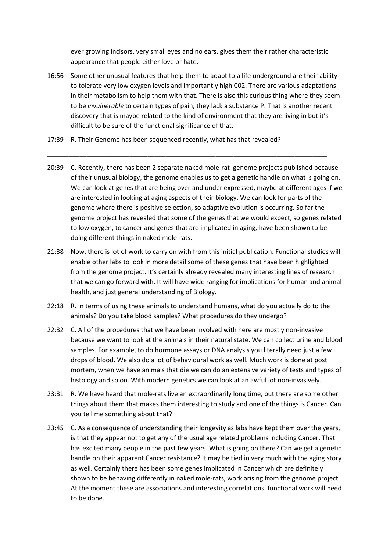ever growing incisors, very small eyes and no ears, gives them their rather characteristic appearance that people either love or hate.

16:56 Some other unusual features that help them to adapt to a life underground are their ability to tolerate very low oxygen levels and importantly high C02. There are various adaptations in their metabolism to help them with that. There is also this curious thing where they seem to be *invulnerable* to certain types of pain, they lack a substance P. That is another recent discovery that is maybe related to the kind of environment that they are living in but it's difficult to be sure of the functional significance of that.

\_\_\_\_\_\_\_\_\_\_\_\_\_\_\_\_\_\_\_\_\_\_\_\_\_\_\_\_\_\_\_\_\_\_\_\_\_\_\_\_\_\_\_\_\_\_\_\_\_\_\_\_\_\_\_\_\_\_\_\_\_\_\_\_\_\_\_\_\_\_\_\_\_\_\_\_\_\_

- 17:39 R. Their Genome has been sequenced recently, what has that revealed?
- 20:39 C. Recently, there has been 2 separate naked mole-rat genome projects published because of their unusual biology, the genome enables us to get a genetic handle on what is going on. We can look at genes that are being over and under expressed, maybe at different ages if we are interested in looking at aging aspects of their biology. We can look for parts of the genome where there is positive selection, so adaptive evolution is occurring. So far the genome project has revealed that some of the genes that we would expect, so genes related to low oxygen, to cancer and genes that are implicated in aging, have been shown to be doing different things in naked mole-rats.
- 21:38 Now, there is lot of work to carry on with from this initial publication. Functional studies will enable other labs to look in more detail some of these genes that have been highlighted from the genome project. It's certainly already revealed many interesting lines of research that we can go forward with. It will have wide ranging for implications for human and animal health, and just general understanding of Biology.
- 22:18 R. In terms of using these animals to understand humans, what do you actually do to the animals? Do you take blood samples? What procedures do they undergo?
- 22:32 C. All of the procedures that we have been involved with here are mostly non-invasive because we want to look at the animals in their natural state. We can collect urine and blood samples. For example, to do hormone assays or DNA analysis you literally need just a few drops of blood. We also do a lot of behavioural work as well. Much work is done at post mortem, when we have animals that die we can do an extensive variety of tests and types of histology and so on. With modern genetics we can look at an awful lot non-invasively.
- 23:31 R. We have heard that mole-rats live an extraordinarily long time, but there are some other things about them that makes them interesting to study and one of the things is Cancer. Can you tell me something about that?
- 23:45 C. As a consequence of understanding their longevity as labs have kept them over the years, is that they appear not to get any of the usual age related problems including Cancer. That has excited many people in the past few years. What is going on there? Can we get a genetic handle on their apparent Cancer resistance? It may be tied in very much with the aging story as well. Certainly there has been some genes implicated in Cancer which are definitely shown to be behaving differently in naked mole-rats, work arising from the genome project. At the moment these are associations and interesting correlations, functional work will need to be done.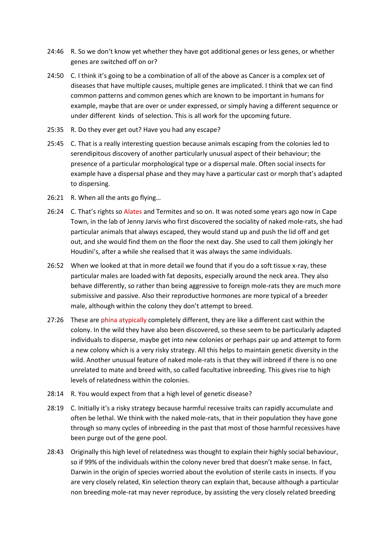- 24:46 R. So we don't know yet whether they have got additional genes or less genes, or whether genes are switched off on or?
- 24:50 C. I think it's going to be a combination of all of the above as Cancer is a complex set of diseases that have multiple causes, multiple genes are implicated. I think that we can find common patterns and common genes which are known to be important in humans for example, maybe that are over or under expressed, or simply having a different sequence or under different kinds of selection. This is all work for the upcoming future.
- 25:35 R. Do they ever get out? Have you had any escape?
- 25:45 C. That is a really interesting question because animals escaping from the colonies led to serendipitous discovery of another particularly unusual aspect of their behaviour; the presence of a particular morphological type or a dispersal male. Often social insects for example have a dispersal phase and they may have a particular cast or morph that's adapted to dispersing.
- 26:21 R. When all the ants go flying…
- 26:24 C. That's rights so Alates and Termites and so on. It was noted some years ago now in Cape Town, in the lab of Jenny Jarvis who first discovered the sociality of naked mole-rats, she had particular animals that always escaped, they would stand up and push the lid off and get out, and she would find them on the floor the next day. She used to call them jokingly her Houdini's, after a while she realised that it was always the same individuals.
- 26:52 When we looked at that in more detail we found that if you do a soft tissue x-ray, these particular males are loaded with fat deposits, especially around the neck area. They also behave differently, so rather than being aggressive to foreign mole-rats they are much more submissive and passive. Also their reproductive hormones are more typical of a breeder male, although within the colony they don't attempt to breed.
- 27:26 These are phina atypically completely different, they are like a different cast within the colony. In the wild they have also been discovered, so these seem to be particularly adapted individuals to disperse, maybe get into new colonies or perhaps pair up and attempt to form a new colony which is a very risky strategy. All this helps to maintain genetic diversity in the wild. Another unusual feature of naked mole-rats is that they will inbreed if there is no one unrelated to mate and breed with, so called facultative inbreeding. This gives rise to high levels of relatedness within the colonies.
- 28:14 R. You would expect from that a high level of genetic disease?
- 28:19 C. Initially it's a risky strategy because harmful recessive traits can rapidly accumulate and often be lethal. We think with the naked mole-rats, that in their population they have gone through so many cycles of inbreeding in the past that most of those harmful recessives have been purge out of the gene pool.
- 28:43 Originally this high level of relatedness was thought to explain their highly social behaviour, so if 99% of the individuals within the colony never bred that doesn't make sense. In fact, Darwin in the origin of species worried about the evolution of sterile casts in insects. If you are very closely related, Kin selection theory can explain that, because although a particular non breeding mole-rat may never reproduce, by assisting the very closely related breeding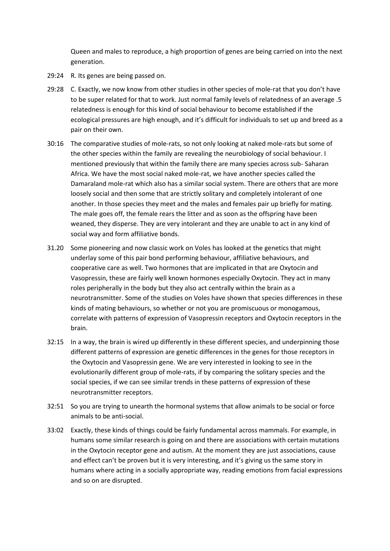Queen and males to reproduce, a high proportion of genes are being carried on into the next generation.

- 29:24 R. Its genes are being passed on.
- 29:28 C. Exactly, we now know from other studies in other species of mole-rat that you don't have to be super related for that to work. Just normal family levels of relatedness of an average .5 relatedness is enough for this kind of social behaviour to become established if the ecological pressures are high enough, and it's difficult for individuals to set up and breed as a pair on their own.
- 30:16 The comparative studies of mole-rats, so not only looking at naked mole-rats but some of the other species within the family are revealing the neurobiology of social behaviour. I mentioned previously that within the family there are many species across sub- Saharan Africa. We have the most social naked mole-rat, we have another species called the Damaraland mole-rat which also has a similar social system. There are others that are more loosely social and then some that are strictly solitary and completely intolerant of one another. In those species they meet and the males and females pair up briefly for mating. The male goes off, the female rears the litter and as soon as the offspring have been weaned, they disperse. They are very intolerant and they are unable to act in any kind of social way and form affiliative bonds.
- 31.20 Some pioneering and now classic work on Voles has looked at the genetics that might underlay some of this pair bond performing behaviour, affiliative behaviours, and cooperative care as well. Two hormones that are implicated in that are Oxytocin and Vasopressin, these are fairly well known hormones especially Oxytocin. They act in many roles peripherally in the body but they also act centrally within the brain as a neurotransmitter. Some of the studies on Voles have shown that species differences in these kinds of mating behaviours, so whether or not you are promiscuous or monogamous, correlate with patterns of expression of Vasopressin receptors and Oxytocin receptors in the brain.
- 32:15 In a way, the brain is wired up differently in these different species, and underpinning those different patterns of expression are genetic differences in the genes for those receptors in the Oxytocin and Vasopressin gene. We are very interested in looking to see in the evolutionarily different group of mole-rats, if by comparing the solitary species and the social species, if we can see similar trends in these patterns of expression of these neurotransmitter receptors.
- 32:51 So you are trying to unearth the hormonal systems that allow animals to be social or force animals to be anti-social.
- 33:02 Exactly, these kinds of things could be fairly fundamental across mammals. For example, in humans some similar research is going on and there are associations with certain mutations in the Oxytocin receptor gene and autism. At the moment they are just associations, cause and effect can't be proven but it is very interesting, and it's giving us the same story in humans where acting in a socially appropriate way, reading emotions from facial expressions and so on are disrupted.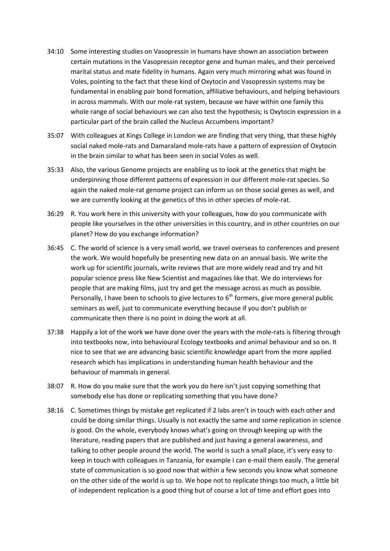- 34:10 Some interesting studies on Vasopressin in humans have shown an association between certain mutations in the Vasopressin receptor gene and human males, and their perceived marital status and mate fidelity in humans. Again very much mirroring what was found in Voles, pointing to the fact that these kind of Oxytocin and Vasopressin systems may be fundamental in enabling pair bond formation, affiliative behaviours, and helping behaviours in across mammals. With our mole-rat system, because we have within one family this whole range of social behaviours we can also test the hypothesis; is Oxytocin expression in a particular part of the brain called the Nucleus Accumbens important?
- 35:07 With colleagues at Kings College in London we are finding that very thing, that these highly social naked mole-rats and Damaraland mole-rats have a pattern of expression of Oxytocin in the brain similar to what has been seen in social Voles as well.
- 35:33 Also, the various Genome projects are enabling us to look at the genetics that might be underpinning those different patterns of expression in our different mole-rat species. So again the naked mole-rat genome project can inform us on those social genes as well, and we are currently looking at the genetics of this in other species of mole-rat.
- 36:29 R. You work here in this university with your colleagues, how do you communicate with people like yourselves in the other universities in this country, and in other countries on our planet? How do you exchange information?
- 36:45 C. The world of science is a very small world, we travel overseas to conferences and present the work. We would hopefully be presenting new data on an annual basis. We write the work up for scientific journals, write reviews that are more widely read and try and hit popular science press like New Scientist and magazines like that. We do interviews for people that are making films, just try and get the message across as much as possible. Personally, I have been to schools to give lectures to  $6<sup>th</sup>$  formers, give more general public seminars as well, just to communicate everything because if you don't publish or communicate then there is no point in doing the work at all.
- 37:38 Happily a lot of the work we have done over the years with the mole-rats is filtering through into textbooks now, into behavioural Ecology textbooks and animal behaviour and so on. It nice to see that we are advancing basic scientific knowledge apart from the more applied research which has implications in understanding human health behaviour and the behaviour of mammals in general.
- 38:07 R. How do you make sure that the work you do here isn't just copying something that somebody else has done or replicating something that you have done?
- 38:16 C. Sometimes things by mistake get replicated if 2 labs aren't in touch with each other and could be doing similar things. Usually is not exactly the same and some replication in science is good. On the whole, everybody knows what's going on through keeping up with the literature, reading papers that are published and just having a general awareness, and talking to other people around the world. The world is such a small place, it's very easy to keep in touch with colleagues in Tanzania, for example I can e-mail them easily. The general state of communication is so good now that within a few seconds you know what someone on the other side of the world is up to. We hope not to replicate things too much, a little bit of independent replication is a good thing but of course a lot of time and effort goes into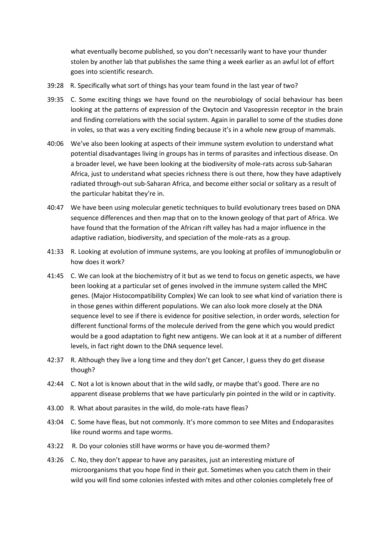what eventually become published, so you don't necessarily want to have your thunder stolen by another lab that publishes the same thing a week earlier as an awful lot of effort goes into scientific research.

- 39:28 R. Specifically what sort of things has your team found in the last year of two?
- 39:35 C. Some exciting things we have found on the neurobiology of social behaviour has been looking at the patterns of expression of the Oxytocin and Vasopressin receptor in the brain and finding correlations with the social system. Again in parallel to some of the studies done in voles, so that was a very exciting finding because it's in a whole new group of mammals.
- 40:06 We've also been looking at aspects of their immune system evolution to understand what potential disadvantages living in groups has in terms of parasites and infectious disease. On a broader level, we have been looking at the biodiversity of mole-rats across sub-Saharan Africa, just to understand what species richness there is out there, how they have adaptively radiated through-out sub-Saharan Africa, and become either social or solitary as a result of the particular habitat they're in.
- 40:47 We have been using molecular genetic techniques to build evolutionary trees based on DNA sequence differences and then map that on to the known geology of that part of Africa. We have found that the formation of the African rift valley has had a major influence in the adaptive radiation, biodiversity, and speciation of the mole-rats as a group.
- 41:33 R. Looking at evolution of immune systems, are you looking at profiles of immunoglobulin or how does it work?
- 41:45 C. We can look at the biochemistry of it but as we tend to focus on genetic aspects, we have been looking at a particular set of genes involved in the immune system called the MHC genes. (Major Histocompatibility Complex) We can look to see what kind of variation there is in those genes within different populations. We can also look more closely at the DNA sequence level to see if there is evidence for positive selection, in order words, selection for different functional forms of the molecule derived from the gene which you would predict would be a good adaptation to fight new antigens. We can look at it at a number of different levels, in fact right down to the DNA sequence level.
- 42:37 R. Although they live a long time and they don't get Cancer, I guess they do get disease though?
- 42:44 C. Not a lot is known about that in the wild sadly, or maybe that's good. There are no apparent disease problems that we have particularly pin pointed in the wild or in captivity.
- 43.00 R. What about parasites in the wild, do mole-rats have fleas?
- 43:04 C. Some have fleas, but not commonly. It's more common to see Mites and Endoparasites like round worms and tape worms.
- 43:22 R. Do your colonies still have worms or have you de-wormed them?
- 43:26 C. No, they don't appear to have any parasites, just an interesting mixture of microorganisms that you hope find in their gut. Sometimes when you catch them in their wild you will find some colonies infested with mites and other colonies completely free of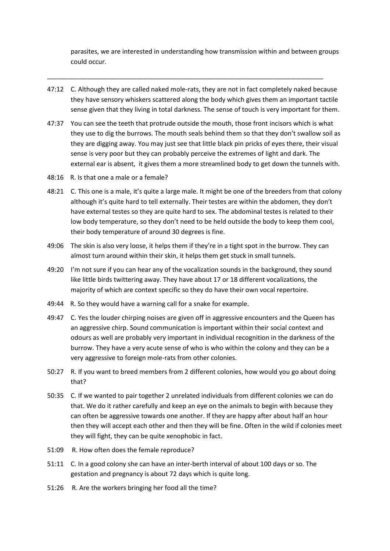parasites, we are interested in understanding how transmission within and between groups could occur.

47:12 C. Although they are called naked mole-rats, they are not in fact completely naked because they have sensory whiskers scattered along the body which gives them an important tactile sense given that they living in total darkness. The sense of touch is very important for them.

\_\_\_\_\_\_\_\_\_\_\_\_\_\_\_\_\_\_\_\_\_\_\_\_\_\_\_\_\_\_\_\_\_\_\_\_\_\_\_\_\_\_\_\_\_\_\_\_\_\_\_\_\_\_\_\_\_\_\_\_\_\_\_\_\_\_\_\_\_\_\_\_\_\_\_\_\_

- 47:37 You can see the teeth that protrude outside the mouth, those front incisors which is what they use to dig the burrows. The mouth seals behind them so that they don't swallow soil as they are digging away. You may just see that little black pin pricks of eyes there, their visual sense is very poor but they can probably perceive the extremes of light and dark. The external ear is absent, it gives them a more streamlined body to get down the tunnels with.
- 48:16 R. Is that one a male or a female?
- 48:21 C. This one is a male, it's quite a large male. It might be one of the breeders from that colony although it's quite hard to tell externally. Their testes are within the abdomen, they don't have external testes so they are quite hard to sex. The abdominal testes is related to their low body temperature, so they don't need to be held outside the body to keep them cool, their body temperature of around 30 degrees is fine.
- 49:06 The skin is also very loose, it helps them if they're in a tight spot in the burrow. They can almost turn around within their skin, it helps them get stuck in small tunnels.
- 49:20 I'm not sure if you can hear any of the vocalization sounds in the background, they sound like little birds twittering away. They have about 17 or 18 different vocalizations, the majority of which are context specific so they do have their own vocal repertoire.
- 49:44 R. So they would have a warning call for a snake for example.
- 49:47 C. Yes the louder chirping noises are given off in aggressive encounters and the Queen has an aggressive chirp. Sound communication is important within their social context and odours as well are probably very important in individual recognition in the darkness of the burrow. They have a very acute sense of who is who within the colony and they can be a very aggressive to foreign mole-rats from other colonies.
- 50:27 R. If you want to breed members from 2 different colonies, how would you go about doing that?
- 50:35 C. If we wanted to pair together 2 unrelated individuals from different colonies we can do that. We do it rather carefully and keep an eye on the animals to begin with because they can often be aggressive towards one another. If they are happy after about half an hour then they will accept each other and then they will be fine. Often in the wild if colonies meet they will fight, they can be quite xenophobic in fact.
- 51:09 R. How often does the female reproduce?
- 51:11 C. In a good colony she can have an inter-berth interval of about 100 days or so. The gestation and pregnancy is about 72 days which is quite long.
- 51:26 R. Are the workers bringing her food all the time?